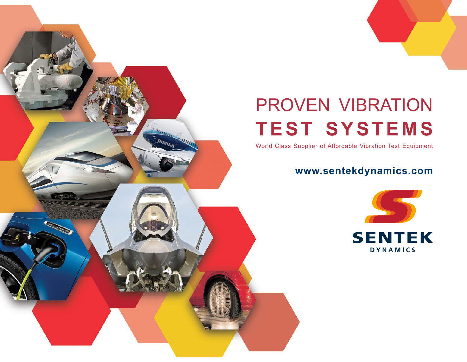# PROVEN VIBRATION **TEST SYSTEMS**

World Class Supplier of Affordable Vibration Test Equipment

*<u>Inthine</u>* 

BOEINE

**Construction** 

BRUIN

### **www.sentekdynamics.com**

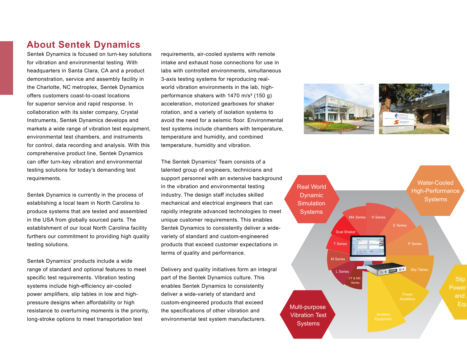### **About Sentek Dynamics**

Sentek Dynamics is focused on turn-key solutions for vibration and environmental testing. With headquarters in Santa Clara, CA and a product demonstration, service and assembly facility in the Charlotte, NC metroplex, Sentek Dynamics offers customers coast-to-coast locations for superior service and rapid response. In collaboration with its sister company, Crystal Instruments, Sentek Dynamics develops and markets a wide range of vibration test equipment, environmental test chambers, and instruments for control, data recording and analysis. With this comprehensive product line, Sentek Dynamics can offer turn-key vibration and environmental testing solutions for today′s demanding test requirements.

Sentek Dynamics is currently in the process of establishing a local team in North Carolina to produce systems that are tested and assembled in the USA from globally sourced parts. The establishment of our local North Carolina facility furthers our commitment to providing high quality testing solutions.

Sentek Dynamics' products include a wide range of standard and optional features to meet specific test requirements. Vibration testing systems include high-efficiency air-cooled power amplifiers, slip tables in low and highpressure designs when affordability or high resistance to overturning moments is the priority, long-stroke options to meet transportation test

requirements, air-cooled systems with remote intake and exhaust hose connections for use in labs with controlled environments, simultaneous 3-axis testing systems for reproducing realworld vibration environments in the lab, highperformance shakers with 1470 m/s² (150 g) acceleration, motorized gearboxes for shaker rotation, and a variety of isolation systems to avoid the need for a seismic floor. Environmental test systems include chambers with temperature, temperature and humidity, and combined temperature, humidity and vibration.

The Sentek Dynamics′ Team consists of a talented group of engineers, technicians and support personnel with an extensive background in the vibration and environmental testing industry. The design staff includes skilled mechanical and electrical engineers that can rapidly integrate advanced technologies to meet unique customer requirements. This enables Sentek Dynamics to consistently deliver a widevariety of standard and custom-engineered products that exceed customer expectations in terms of quality and performance.

Delivery and quality initiatives form an integral part of the Sentek Dynamics culture. This enables Sentek Dynamics to consistently deliver a wide-variety of standard and custom-engineered products that exceed the specifications of other vibration and environmental test system manufacturers.



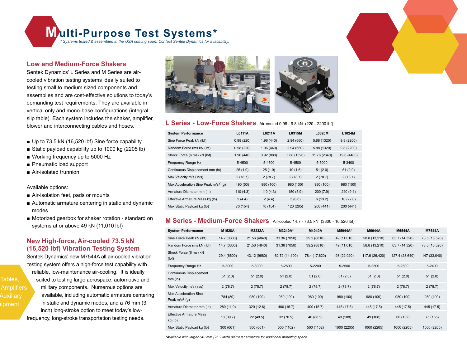**Multi-Purpose Test Systems\***

*\* Systems tested & assembled in the USA coming soon. Contact Sentek Dynamics for availability.*

#### **Low and Medium-Force Shakers**

Sentek Dynamics' L Series and M Series are aircooled vibration testing systems ideally suited to testing small to medium sized components and assemblies and are cost-effective solutions to today's demanding test requirements. They are available in vertical only and mono-base configurations (integral slip table). Each system includes the shaker, amplifier, blower and interconnecting cables and hoses.

- Up to 73.5 kN (16,520 lbf) Sine force capability
- Static payload capability up to 1000 kg (2205 lb)
- Working frequency up to 5000 Hz
- Pneumatic load support
- Air-isolated trunnion

Available options:

Tables,

Auxiliary ipment

- Air-isolation feet, pads or mounts
- Automatic armature centering in static and dynamic modes
- Motorized gearbox for shaker rotation standard on systems at or above 49 kN (11,010 lbf)

#### **New High-force, Air-cooled 73.5 kN (16,520 lbf) Vibration Testing System**

Sentek Dynamics' new M7544A all air-cooled vibration testing system offers a high-force test capability with reliable, low-maintenance air-cooling. It is ideally suited to testing large aerospace, automotive and military components. Numerous options are available, including automatic armature centering in static and dynamic modes, and a 76 mm (3 inch) long-stroke option to meet today's lowfrequency, long-stroke transportation testing needs. **Amplifiers** 



#### **L Series - Low-Force Shakers** Air-cooled 0.98 - 9.8 kN (220 - 2200 lbf)

| <b>System Performance</b>              | L0111A    | L0211A    | L0315M      | <b>L0620M</b> | L1024M      |
|----------------------------------------|-----------|-----------|-------------|---------------|-------------|
| Sine Force Peak kN (lbf)               | 0.98(220) | 1.96(440) | 2.94(660)   | 5.88 (1320)   | 9.8(2200)   |
| Random Force rms kN (lbf)              | 0.98(220) | 1.96(440) | 2.94(660)   | 5.88 (1320)   | 9.8(2200)   |
| Shock Force (6 ms) kN (lbf)            | 1.96(440) | 3.92(880) | 5.88 (1320) | 11.76 (2640)  | 19.6 (4400) |
| Frequency Range Hz                     | 5-4500    | 5-4500    | 5-4500      | 5-5000        | 5-3400      |
| Continuous Displacement mm (in)        | 25(1.0)   | 25(1.0)   | 40(1.6)     | 51(2.0)       | 51(2.0)     |
| Max Velocity m/s (in/s)                | 2(78.7)   | 2(78.7)   | 2(78.7)     | 2(78.7)       | 2(78.7)     |
| Max Acceleration Sine Peak $m/s^2$ (g) | 490 (50)  | 980 (100) | 980 (100)   | 980 (100)     | 980 (100)   |
| Armature Diameter mm (in)              | 110(4.3)  | 110(4.3)  | 150(5.9)    | 200(7.9)      | 240 (9.4)   |
| Effective Armature Mass kg (lb)        | 2(4.4)    | 2(4.4)    | 3(6.6)      | 6(13.2)       | 10(22.0)    |
| Max Static Payload kg (lb)             | 70 (154)  | 70 (154)  | 120 (265)   | 200 (441)     | 200 (441)   |

#### **M Series - Medium-Force Shakers** Air-cooled 14.7 - 73.5 kN (3300 - 16,520 lbf)

| <b>System Performance</b>                 | M1528A      | M2232A       | M3240A*        | M4040A        | M5044A*     | <b>M6044A</b>  | <b>M6544A</b>  | <b>M7544A</b> |
|-------------------------------------------|-------------|--------------|----------------|---------------|-------------|----------------|----------------|---------------|
| Sine Force Peak kN (lbf)                  | 14.7 (3300) | 21.56 (4840) | 31.36 (7050)   | 39.2 (8810)   | 49 (11,010) | 58.8 (13,210)  | 63.7 (14,320)  | 73.5 (16,520) |
| Random Force rms kN (lbf)                 | 14.7 (3300) | 21.56 (4840) | 31.36 (7050)   | 39.2 (8810)   | 49 (11,010) | 58.8 (13,210)  | 63.7 (14,320)  | 73.5 (16,520) |
| Shock Force (6 ms) kN<br>(lbf)            | 29.4 (6600) | 43.12 (9680) | 62.72 (14,100) | 78.4 (17,620) | 98 (22,020) | 117.6 (26,420) | 127.4 (28,640) | 147 (33,040)  |
| Frequency Range Hz                        | 5-3000      | 5-3000       | 5-2500         | 5-2200        | 5-2500      | 5-2500         | 5-2500         | 5-2400        |
| Continuous Displacement<br>$mm$ (in)      | 51(2.0)     | 51(2.0)      | 51(2.0)        | 51(2.0)       | 51(2.0)     | 51(2.0)        | 51(2.0)        | 51(2.0)       |
| Max Velocity m/s (in/s)                   | 2(78.7)     | 2(78.7)      | 2(78.7)        | 2(78.7)       | 2(78.7)     | 2(78.7)        | 2(78.7)        | 2(78.7)       |
| Max Acceleration Sine<br>Peak $m/s^2$ (g) | 784 (80)    | 980 (100)    | 980 (100)      | 980 (100)     | 980 (100)   | 980 (100)      | 980 (100)      | 980 (100)     |
| Armature Diameter mm (in)                 | 280 (11.0)  | 320 (12.6)   | 400 (15.7)     | 400 (15.7)    | 445 (17.5)  | 445 (17.5)     | 445 (17.5)     | 445 (17.5)    |
| <b>Effective Armature Mass</b><br>kg (lb) | 18 (39.7)   | 22 (48.5)    | 32 (70.5)      | 40 (88.2)     | 49 (108)    | 49 (108)       | 60 (132)       | 75 (165)      |
| Max Static Payload kg (lb)                | 300 (661)   | 300 (661)    | 500 (1102)     | 500 (1102)    | 1000 (2205) | 1000 (2205)    | 1000 (2205)    | 1000 (2205)   |

*\*Available with larger 640 mm (25.2 inch) diameter armature for additional mounting space*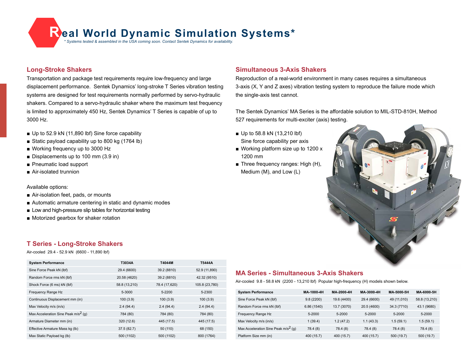**Real World Dynamic Simulation Systems tested & assembled in the USA coming soon. Contact Sentek Dynamics for availability.** 

#### **Long-Stroke Shakers**

Transportation and package test requirements require low-frequency and large displacement performance. Sentek Dynamics' long-stroke T Series vibration testing systems are designed for test requirements normally performed by servo-hydraulic shakers. Compared to a servo-hydraulic shaker where the maximum test frequency is limited to approximately 450 Hz, Sentek Dynamics' T Series is capable of up to 3000 Hz.

- Up to 52.9 kN (11,890 lbf) Sine force capability
- Static payload capability up to 800 kg (1764 lb)
- Working frequency up to 3000 Hz
- Displacements up to 100 mm (3.9 in)
- Pneumatic load support
- Air-isolated trunnion

#### Available options:

- Air-isolation feet, pads, or mounts
- Automatic armature centering in static and dynamic modes
- Low and high-pressure slip tables for horizontal testing
- Motorized gearbox for shaker rotation

#### **T Series - Long-Stroke Shakers**

Air-cooled 29.4 - 52.9 kN (6600 - 11,890 lbf)

| <b>System Performance</b>              | T3034A        | T4044M        | T5444A         |
|----------------------------------------|---------------|---------------|----------------|
| Sine Force Peak kN (lbf)               | 29.4 (6600)   | 39.2 (8810)   | 52.9 (11,890)  |
| Random Force rms kN (lbf)              | 20.58 (4620)  | 39.2 (8810)   | 42.32 (9510)   |
| Shock Force (6 ms) kN (lbf)            | 58.8 (13,210) | 78.4 (17,620) | 105.8 (23,780) |
| Frequency Range Hz                     | 5-3000        | 5-2200        | 5-2300         |
| Continuous Displacement mm (in)        | 100(3.9)      | 100(3.9)      | 100(3.9)       |
| Max Velocity m/s (in/s)                | 2.4(94.4)     | 2.4(94.4)     | 2.4(94.4)      |
| Max Acceleration Sine Peak $m/s^2$ (q) | 784 (80)      | 784 (80)      | 784 (80)       |
| Armature Diameter mm (in)              | 320 (12.6)    | 445 (17.5)    | 445 (17.5)     |
| Effective Armature Mass kg (lb)        | 37.5 (82.7)   | 50 (110)      | 68 (150)       |
| Max Static Payload kg (lb)             | 500 (1102)    | 500 (1102)    | 800 (1764)     |

#### **Simultaneous 3-Axis Shakers**

Reproduction of a real-world environment in many cases requires a simultaneous 3-axis (X, Y and Z axes) vibration testing system to reproduce the failure mode which the single-axis test cannot.

The Sentek Dynamics' MA Series is the affordable solution to MIL-STD-810H, Method 527 requirements for multi-exciter (axis) testing.

- Up to 58.8 kN (13,210 lbf) Sine force capability per axis
- Working platform size up to 1200 x 1200 mm
- Three frequency ranges: High (H), Medium (M), and Low (L)



#### **MA Series - Simultaneous 3-Axis Shakers**

Air-cooled 9.8 - 58.8 kN (2200 - 13,210 lbf) Popular high-frequency (H) models shown below.

| <b>System Performance</b>                       | MA-1000-4H  | MA-2000-411 | MA-3000-4H  | MA-5000-511 | MA 6000 5H    |
|-------------------------------------------------|-------------|-------------|-------------|-------------|---------------|
| Sine Force Peak kN (lbf)                        | 9.8(2200)   | 19.6 (4400) | 29.4 (6600) | 49 (11,010) | 58.8 (13,210) |
| Random Force rms kN (lbf)                       | 6.86 (1540) | 13.7 (3070) | 20.5 (4600) | 34.3 (7710) | 43.1 (9680)   |
| Frequency Range Hz                              | 5-2000      | $5 - 2000$  | 5-2000      | 5-2000      | 5-2000        |
| Max Velocity m/s (in/s)                         | 1(39.4)     | 1.2(47.2)   | 1.1(43.3)   | 1.5(59.1)   | 1.5(59.1)     |
| Max Acceleration Sine Peak m/s <sup>2</sup> (q) | 78.4 (8)    | 78.4 (8)    | 78.4 (8)    | 78.4 (8)    | 78.4 (8)      |
| Platform Size mm (in)                           | 400 (15.7)  | 400 (15.7)  | 400 (15.7)  | 500 (19.7)  | 500 (19.7)    |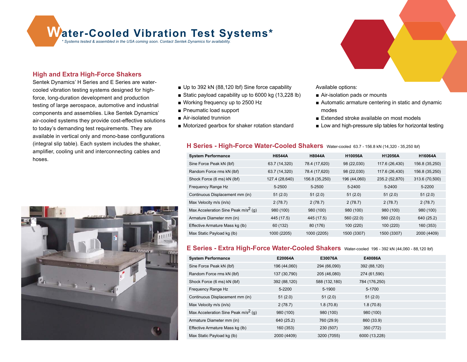**Water-Cooled Vibration Test Systems tested & assembled in the USA coming soon. Contact Sentek Dynamics for availability.** 

#### **High and Extra High-Force Shakers**

Sentek Dynamics' H Series and E Series are watercooled vibration testing systems designed for highforce, long-duration development and production testing of large aerospace, automotive and industrial components and assemblies. Like Sentek Dynamics' air-cooled systems they provide cost-effective solutions to today's demanding test requirements. They are available in vertical only and mono-base configurations (integral slip table). Each system includes the shaker, amplifier, cooling unit and interconnecting cables and hoses.



- Up to 392 kN (88,120 lbf) Sine force capability
- Static payload capability up to 6000 kg (13,228 lb)
- Working frequency up to 2500 Hz
- Pneumatic load support
- Air-isolated trunnion
- Motorized gearbox for shaker rotation standard

Available options:

- Air-isolation pads or mounts
- Automatic armature centering in static and dynamic modes
- Extended stroke available on most models
- Low and high-pressure slip tables for horizontal testing

#### **H Series - High-Force Water-Cooled Shakers** Water-cooled 63.7 - 156.8 kN (14,320 - 35,250 lbf)

| <b>System Performance</b>              | <b>H6544A</b>  | <b>H8044A</b>  | <b>H10056A</b> | H12056A        | <b>H16064A</b> |
|----------------------------------------|----------------|----------------|----------------|----------------|----------------|
| Sine Force Peak kN (lbf)               | 63.7 (14,320)  | 78.4 (17,620)  | 98 (22,030)    | 117.6 (26,430) | 156.8 (35,250) |
| Random Force rms kN (lbf)              | 63.7 (14,320)  | 78.4 (17,620)  | 98 (22,030)    | 117.6 (26,430) | 156.8 (35,250) |
| Shock Force (6 ms) kN (lbf)            | 127.4 (28,640) | 156.8 (35,250) | 196 (44,060)   | 235.2 (52,870) | 313.6 (70,500) |
| Frequency Range Hz                     | 5-2500         | 5-2500         | 5-2400         | 5-2400         | 5-2200         |
| Continuous Displacement mm (in)        | 51(2.0)        | 51(2.0)        | 51(2.0)        | 51(2.0)        | 51(2.0)        |
| Max Velocity m/s (in/s)                | 2(78.7)        | 2(78.7)        | 2(78.7)        | 2(78.7)        | 2(78.7)        |
| Max Acceleration Sine Peak $m/s^2$ (g) | 980 (100)      | 980 (100)      | 980 (100)      | 980 (100)      | 980 (100)      |
| Armature Diameter mm (in)              | 445 (17.5)     | 445 (17.5)     | 560 (22.0)     | 560 (22.0)     | 640 (25.2)     |
| Effective Armature Mass kg (lb)        | 60 (132)       | 80 (176)       | 100 (220)      | 100 (220)      | 160 (353)      |
| Max Static Payload kg (lb)             | 1000 (2205)    | 1000 (2205)    | 1500 (3307)    | 1500 (3307)    | 2000 (4409)    |

#### **E Series - Extra High-Force Water-Cooled Shakers** Water-cooled 196 - 392 kN (44,060 - 88,120 lbf)

| <b>System Performance</b>              | E20064A      | E30076A       | E40086A       |
|----------------------------------------|--------------|---------------|---------------|
| Sine Force Peak kN (lbf)               | 196 (44,060) | 294 (66,090)  | 392 (88,120)  |
| Random Force rms kN (lbf)              | 137 (30,790) | 205 (46,080)  | 274 (61,590)  |
| Shock Force (6 ms) kN (lbf)            | 392 (88,120) | 588 (132,180) | 784 (176,250) |
| Frequency Range Hz                     | 5-2200       | 5-1900        | 5-1700        |
| Continuous Displacement mm (in)        | 51(2.0)      | 51(2.0)       | 51(2.0)       |
| Max Velocity m/s (in/s)                | 2(78.7)      | 1.8(70.8)     | 1.8(70.8)     |
| Max Acceleration Sine Peak $m/s^2$ (g) | 980 (100)    | 980 (100)     | 980 (100)     |
| Armature Diameter mm (in)              | 640 (25.2)   | 760 (29.9)    | 860 (33.9)    |
| Effective Armature Mass kg (lb)        | 160 (353)    | 230 (507)     | 350 (772)     |
| Max Static Payload kg (lb)             | 2000 (4409)  | 3200 (7055)   | 6000 (13,228) |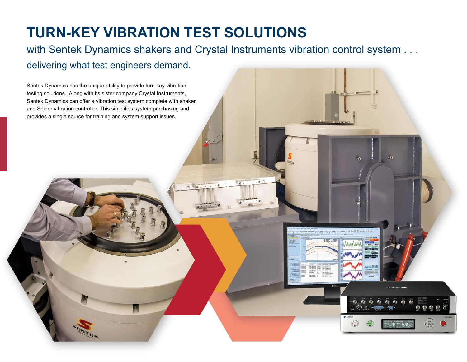## **TURN-KEY VIBRATION TEST SOLUTIONS**

with Sentek Dynamics shakers and Crystal Instruments vibration control system . . . delivering what test engineers demand.

Sentek Dynamics has the unique ability to provide turn-key vibration testing solutions. Along with its sister company Crystal Instruments, Sentek Dynamics can offer a vibration test system complete with shaker and Spider vibration controller. This simplifies system purchasing and provides a single source for training and system support issues. $10 - 10 - 10 - 10$  $11.1.1$  $\widehat{\mathbb{Q}}$  ,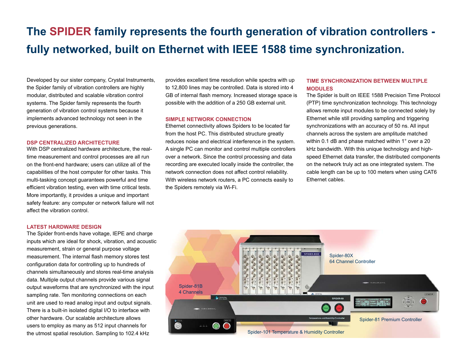## **The SPIDER family represents the fourth generation of vibration controllers fully networked, built on Ethernet with IEEE 1588 time synchronization.**

Developed by our sister company, Crystal Instruments, the Spider family of vibration controllers are highly modular, distributed and scalable vibration control systems. The Spider family represents the fourth generation of vibration control systems because it implements advanced technology not seen in the previous generations.

#### **DSP CENTRALIZED ARCHITECTURE**

With DSP centralized hardware architecture, the realtime measurement and control processes are all run on the front-end hardware; users can utilize all of the capabilities of the host computer for other tasks. This multi-tasking concept guarantees powerful and time efficient vibration testing, even with time critical tests. More importantly, it provides a unique and important safety feature: any computer or network failure will not affect the vibration control.

#### **LATEST HARDWARE DESIGN**

The Spider front-ends have voltage, IEPE and charge inputs which are ideal for shock, vibration, and acoustic measurement, strain or general purpose voltage measurement. The internal flash memory stores test configuration data for controlling up to hundreds of channels simultaneously and stores real-time analysis data. Multiple output channels provide various signal output waveforms that are synchronized with the input sampling rate. Ten monitoring connections on each unit are used to read analog input and output signals. There is a built-in isolated digital I/O to interface with other hardware. Our scalable architecture allows users to employ as many as 512 input channels for the utmost spatial resolution. Sampling to 102.4 kHz

provides excellent time resolution while spectra with up to 12,800 lines may be controlled. Data is stored into 4 GB of internal flash memory. Increased storage space is possible with the addition of a 250 GB external unit.

#### **SIMPLE NETWORK CONNECTION**

Ethernet connectivity allows Spiders to be located far from the host PC. This distributed structure greatly reduces noise and electrical interference in the system. A single PC can monitor and control multiple controllers over a network. Since the control processing and data recording are executed locally inside the controller, the network connection does not affect control reliability. With wireless network routers, a PC connects easily to the Spiders remotely via Wi-Fi.

#### **TIME SYNCHRONIZATION BETWEEN MULTIPLE MODULES**

The Spider is built on IEEE 1588 Precision Time Protocol (PTP) time synchronization technology. This technology allows remote input modules to be connected solely by Ethernet while still providing sampling and triggering synchronizations with an accuracy of 50 ns. All input channels across the system are amplitude matched within 0.1 dB and phase matched within 1° over a 20 kHz bandwidth. With this unique technology and highspeed Ethernet data transfer, the distributed components on the network truly act as one integrated system. The cable length can be up to 100 meters when using CAT6 Ethernet cables.

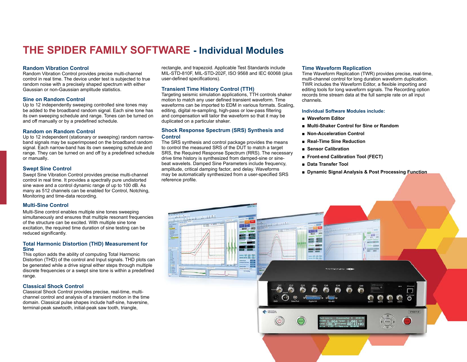### **THE SPIDER FAMILY SOFTWARE - Individual Modules**

#### **Random Vibration Control**

Random Vibration Control provides precise multi-channel control in real time. The device under test is subjected to true random noise with a precisely shaped spectrum with either Gaussian or non-Gaussian amplitude statistics.

#### **Sine on Random Control**

Up to 12 independently sweeping controlled sine tones may be added to the broadband random signal. Each sine tone has its own sweeping schedule and range. Tones can be turned on and off manually or by a predefined schedule.

#### **Random on Random Control**

Up to 12 independent (stationary or sweeping) random narrowband signals may be superimposed on the broadband random signal. Each narrow-band has its own sweeping schedule and range. They can be turned on and off by a predefined schedule or manually.

#### **Swept Sine Control**

Swept Sine Vibration Control provides precise multi-channel control in real time. It provides a spectrally pure undistorted sine wave and a control dynamic range of up to 100 dB. As many as 512 channels can be enabled for Control, Notching, Monitoring and time-data recording.

#### **Multi-Sine Control**

Multi-Sine control enables multiple sine tones sweeping simultaneously and ensures that multiple resonant frequencies of the structure can be excited. With multiple sine tone excitation, the required time duration of sine testing can be reduced significantly.

#### **Total Harmonic Distortion (THD) Measurement for Sine**

This option adds the ability of computing Total Harmonic Distortion (THD) of the control and Input signals. THD plots can be generated while a drive signal either steps through multiple discrete frequencies or a swept sine tone is within a predefined range.

#### **Classical Shock Control**

Classical Shock Control provides precise, real-time, multichannel control and analysis of a transient motion in the time domain. Classical pulse shapes include half-sine, haversine, terminal-peak sawtooth, initial-peak saw tooth, triangle,

rectangle, and trapezoid. Applicable Test Standards include MIL-STD-810F, MIL-STD-202F, ISO 9568 and IEC 60068 (plus user-defined specifications).

#### **Transient Time History Control (TTH)**

Targeting seismic simulation applications, TTH controls shaker motion to match any user defined transient waveform. Time waveforms can be imported to EDM in various formats. Scaling, editing, digital re-sampling, high-pass or low-pass filtering and compensation will tailor the waveform so that it may be duplicated on a particular shaker.

#### **Shock Response Spectrum (SRS) Synthesis and Control**

The SRS synthesis and control package provides the means to control the measured SRS of the DUT to match a target SRS, the Required Response Spectrum (RRS). The necessary drive time history is synthesized from damped-sine or sinebeat wavelets. Damped Sine Parameters include frequency, amplitude, critical damping factor, and delay. Waveforms may be automatically synthesized from a user-specified SRS reference profile.

#### **Time Waveform Replication**

Time Waveform Replication (TWR) provides precise, real-time, multi-channel control for long duration waveform duplication. TWR includes the Waveform Editor, a flexible importing and editing tools for long waveform signals. The Recording option records time stream data at the full sample rate on all input channels.

#### **Individual Software Modules include:**

- **Waveform Editor**
- **Multi-Shaker Control for Sine or Random**
- **Non-Acceleration Control**
- **Real-Time Sine Reduction**
- **Sensor Calibration**
- **Front-end Calibration Tool (FECT)**
- **Data Transfer Tool**
- **Dynamic Signal Analysis & Post Processing Function**

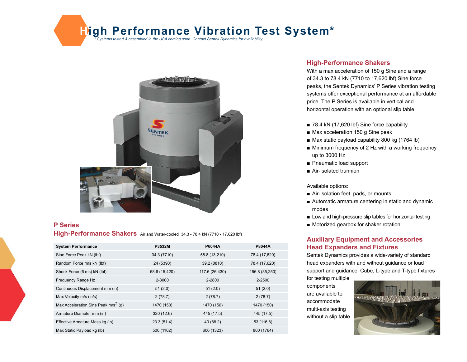## **High Performance Vibration Test Systems tested & assembled in the USA coming soon. Contact Sentek Dynamics for availability.**



#### **P Series**

**High-Performance Shakers** Air and Water-cooled 34.3 - 78.4 kN (7710 - 17,620 lbf)

| <b>System Performance</b>              | P3532M        | <b>P6044A</b>  | <b>P8044A</b>  |
|----------------------------------------|---------------|----------------|----------------|
| Sine Force Peak kN (lbf)               | 34.3 (7710)   | 58.8 (13,210)  | 78.4 (17,620)  |
| Random Force rms kN (lbf)              | 24 (5390)     | 39.2 (8810)    | 78.4 (17,620)  |
| Shock Force (6 ms) kN (lbf)            | 68.6 (15,420) | 117.6 (26,430) | 156.8 (35,250) |
| Frequency Range Hz                     | 2-3000        | 2-2800         | 2-2500         |
| Continuous Displacement mm (in)        | 51(2.0)       | 51(2.0)        | 51(2.0)        |
| Max Velocity m/s (in/s)                | 2(78.7)       | 2(78.7)        | 2(78.7)        |
| Max Acceleration Sine Peak $m/s^2$ (q) | 1470 (150)    | 1470 (150)     | 1470 (150)     |
| Armature Diameter mm (in)              | 320 (12.6)    | 445 (17.5)     | 445 (17.5)     |
| Effective Armature Mass kg (lb)        | 23.3(51.4)    | 40 (88.2)      | 53 (116.8)     |
| Max Static Payload kg (lb)             | 500 (1102)    | 600 (1323)     | 800 (1764)     |

#### **High-Performance Shakers**

With a max acceleration of 150 g Sine and a range of 34.3 to 78.4 kN (7710 to 17,620 lbf) Sine force peaks, the Sentek Dynamics' P Series vibration testing systems offer exceptional performance at an affordable price. The P Series is available in vertical and horizontal operation with an optional slip table.

- 78.4 kN (17,620 lbf) Sine force capability
- Max acceleration 150 g Sine peak
- Max static payload capability 800 kg (1764 lb)
- Minimum frequency of 2 Hz with a working frequency up to 3000 Hz
- Pneumatic load support
- Air-isolated trunnion

#### Available options:

- Air-isolation feet, pads, or mounts
- Automatic armature centering in static and dynamic modes
- Low and high-pressure slip tables for horizontal testing
- Motorized gearbox for shaker rotation

#### **Auxiliary Equipment and Accessories Head Expanders and Fixtures**

Sentek Dynamics provides a wide-variety of standard head expanders with and without guidance or load support and guidance. Cube, L-type and T-type fixtures for testing multiple

components are available to accommodate multi-axis testing without a slip table.

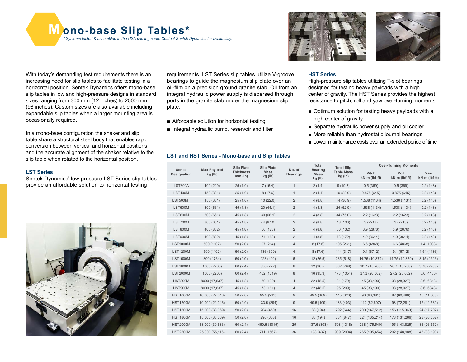**M ono-base Slip Tables\*** *\* Systems tested & assembled in the USA coming soon. Contact Sentek Dynamics for availability.*

With today's demanding test requirements there is an increasing need for slip tables to facilitate testing in a horizontal position. Sentek Dynamics offers mono-base slip tables in low and high-pressure designs in standard sizes ranging from 300 mm (12 inches) to 2500 mm (98 inches). Custom sizes are also available including expandable slip tables when a larger mounting area is occasionally required.

In a mono-base configuration the shaker and slip table share a structural steel body that enables rapid conversion between vertical and horizontal positions, and the accurate alignment of the shaker relative to the slip table when rotated to the horizontal position.

#### **LST Series**

Sentek Dynamics' low-pressure LST Series slip tables provide an affordable solution to horizontal testing



requirements. LST Series slip tables utilize V-groove bearings to guide the magnesium slip plate over an oil-film on a precision ground granite slab. Oil from an integral hydraulic power supply is dispersed through ports in the granite slab under the magnesium slip plate.

- Affordable solution for horizontal testing
- Integral hydraulic pump, reservoir and filter

#### **LST and HST Series - Mono-base and Slip Tables**





#### **HST Series**

High-pressure slip tables utilizing T-slot bearings designed for testing heavy payloads with a high center of gravity. The HST Series provides the highest resistance to pitch, roll and yaw over-turning moments.

- Optimum solution for testing heavy payloads with a high center of gravity
- Separate hydraulic power supply and oil cooler
- More reliable than hydrostatic journal bearings
- Lower maintenance costs over an extended period of time

| <b>Max Payload</b><br><b>Series</b><br>Designation<br>kg (lb) |                               | <b>Slip Plate</b>      | <b>Slip Plate</b>         |                                          | Total                        | <b>Total Slip</b>      | <b>Over-Turning Moments</b> |                      |             |
|---------------------------------------------------------------|-------------------------------|------------------------|---------------------------|------------------------------------------|------------------------------|------------------------|-----------------------------|----------------------|-------------|
|                                                               | <b>Thickness</b><br>$mm$ (in) | <b>Mass</b><br>kg (lb) | No. of<br><b>Bearings</b> | <b>Bearing</b><br><b>Mass</b><br>kg (lb) | <b>Table Mass</b><br>kg (lb) | Pitch<br>kN-m (lbf-ft) | Roll<br>kN-m (lbf-ft)       | Yaw<br>kN-m (lbf-ft) |             |
| <b>LST300A</b>                                                | 100 (220)                     | 25(1.0)                | 7(15.4)                   | $\mathbf{1}$                             | 2(4.4)                       | 9(19.8)                | 0.5(369)                    | 0.5(369)             | 0.2(148)    |
| <b>LST400M</b>                                                | 150 (331)                     | 25(1.0)                | 8(17.6)                   | $\mathbf{1}$                             | 2(4.4)                       | 10(22.0)               | 0.875(645)                  | 0.875(645)           | 0.2(148)    |
| LST500MT                                                      | 150 (331)                     | 25(1.0)                | 10(22.0)                  | $\overline{2}$                           | 4(8.8)                       | 14 (30.9)              | 1.538 (1134)                | 1.538 (1134)         | 0.2(148)    |
| <b>LST500M</b>                                                | 300 (661)                     | 45(1.8)                | 20(44.1)                  | $\overline{2}$                           | 4(8.8)                       | 24 (52.9)              | 1.538 (1134)                | 1.538 (1134)         | 0.2(148)    |
| <b>LST600M</b>                                                | 300 (661)                     | 45(1.8)                | 30(66.1)                  | $\overline{2}$                           | 4(8.8)                       | 34 (75.0)              | 2.2(1623)                   | 2.2(1623)            | 0.2(148)    |
| <b>LST700M</b>                                                | 300 (661)                     | 45(1.8)                | 44 (97.0)                 | $\overline{2}$                           | 4(8.8)                       | 48 (106)               | 3(2213)                     | 3(2213)              | 0.2(148)    |
| <b>LST800M</b>                                                | 400 (882)                     | 45(1.8)                | 56 (123)                  | $\overline{2}$                           | 4(8.8)                       | 60 (132)               | 3.9(2876)                   | 3.9 (2876)           | 0.2(148)    |
| <b>LST900M</b>                                                | 400 (882)                     | 45(1.8)                | 74 (163)                  | $\overline{2}$                           | 4(8.8)                       | 78 (172)               | 4.9(3614)                   | 4.9(3614)            | 0.2(148)    |
| <b>LST1000M</b>                                               | 500 (1102)                    | 50(2.0)                | 97 (214)                  | 4                                        | 8(17.6)                      | 105 (231)              | 6.6(4868)                   | 6.6(4868)            | 1.4(1033)   |
| <b>LST1200M</b>                                               | 500 (1102)                    | 50(2.0)                | 136 (300)                 | $\overline{4}$                           | 8(17.6)                      | 144 (317)              | 9.1(6712)                   | 9.1(6712)            | 1.54 (1136) |
| <b>LST1500M</b>                                               | 800 (1764)                    | 50(2.0)                | 223 (492)                 | 6                                        | 12(26.5)                     | 235 (518)              | 14.75 (10,879)              | 14.75 (10,879)       | 3.15(2323)  |
| <b>LST1800M</b>                                               | 1000 (2205)                   | 60(2.4)                | 350 (772)                 | 6                                        | 12(26.5)                     | 362 (798)              | 20.7 (15,268)               | 20.7 (15,268)        | 3.78 (2788) |
| <b>LST2000M</b>                                               | 1000 (2205)                   | 60(2.4)                | 462 (1019)                | 8                                        | 16(35.3)                     | 478 (1054)             | 27.2 (20,062)               | 27.2 (20,062)        | 5.6 (4130)  |
| <b>HST800M</b>                                                | 8000 (17,637)                 | 45(1.8)                | 59 (130)                  | $\overline{4}$                           | 22(48.5)                     | 81 (179)               | 45 (33,190)                 | 38 (28,027)          | 8.6 (6343)  |
| <b>HST900M</b>                                                | 8000 (17,637)                 | 45(1.8)                | 73 (161)                  | $\overline{4}$                           | 22 (48.5)                    | 95 (209)               | 45 (33,190)                 | 38 (28,027)          | 8.6 (6343)  |
| <b>HST1000M</b>                                               | 10,000 (22,046)               | 50(2.0)                | 95.5 (211)                | 9                                        | 49.5 (109)                   | 145 (320)              | 90 (66,381)                 | 82 (60,480)          | 15 (11,063) |
| <b>HST1200M</b>                                               | 10,000 (22,046)               | 50(2.0)                | 133.5 (294)               | 9                                        | 49.5 (109)                   | 183 (403)              | 112 (82,607)                | 98 (72,281)          | 17 (12,539) |
| <b>HST1500M</b>                                               | 15,000 (33,069)               | 50(2.0)                | 204 (450)                 | 16                                       | 88 (194)                     | 292 (644)              | 200 (147,512)               | 156 (115,060)        | 24 (17,702) |
| <b>HST1800M</b>                                               | 15,000 (33,069)               | 50(2.0)                | 296 (653)                 | 16                                       | 88 (194)                     | 384 (847)              | 224 (165,214)               | 178 (131,286)        | 28 (20,652) |
| <b>HST2000M</b>                                               | 18,000 (39,683)               | 60(2.4)                | 460.5 (1015)              | 25                                       | 137.5 (303)                  | 598 (1318)             | 238 (175,540)               | 195 (143,825)        | 36 (26,552) |
| <b>HST2500M</b>                                               | 25,000 (55,116)               | 60(2.4)                | 711 (1567)                | 36                                       | 198 (437)                    | 909 (2004)             | 265 (195,454)               | 202 (148,988)        | 45 (33,190) |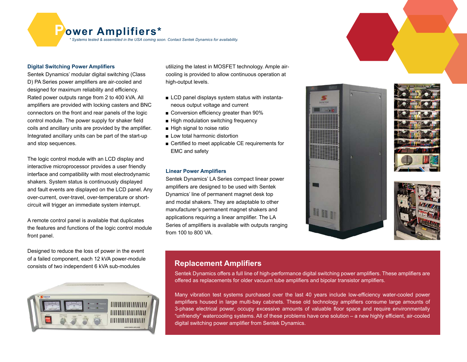**Power Amplifiers\*** *\* Systems tested & assembled in the USA coming soon. Contact Sentek Dynamics for availability.*

#### **Digital Switching Power Amplifiers**

Sentek Dynamics' modular digital switching (Class D) PA Series power amplifiers are air-cooled and designed for maximum reliability and efficiency. Rated power outputs range from 2 to 400 kVA. All amplifiers are provided with locking casters and BNC connectors on the front and rear panels of the logic control module. The power supply for shaker field coils and ancillary units are provided by the amplifier. Integrated ancillary units can be part of the start-up and stop sequences.

The logic control module with an LCD display and interactive microprocessor provides a user friendly interface and compatibility with most electrodynamic shakers. System status is continuously displayed and fault events are displayed on the LCD panel. Any over-current, over-travel, over-temperature or shortcircuit will trigger an immediate system interrupt.

A remote control panel is available that duplicates the features and functions of the logic control module front panel.

Designed to reduce the loss of power in the event of a failed component, each 12 kVA power-module consists of two independent 6 kVA sub-modules



utilizing the latest in MOSFET technology. Ample aircooling is provided to allow continuous operation at high-output levels.

- LCD panel displays system status with instantaneous output voltage and current
- Conversion efficiency greater than 90%
- High modulation switching frequency
- High signal to noise ratio
- Low total harmonic distortion
- Certified to meet applicable CE requirements for EMC and safety

#### **Linear Power Amplifiers**

Sentek Dynamics' LA Series compact linear power amplifiers are designed to be used with Sentek Dynamics' line of permanent magnet desk top and modal shakers. They are adaptable to other manufacturer's permanent magnet shakers and applications requiring a linear amplifier. The LA Series of amplifiers is available with outputs ranging from 100 to 800 VA.



#### **Replacement Amplifiers**

Sentek Dynamics offers a full line of high-performance digital switching power amplifiers. These amplifiers are offered as replacements for older vacuum tube amplifiers and bipolar transistor amplifiers.

Many vibration test systems purchased over the last 40 years include low-efficiency water-cooled power amplifiers housed in large multi-bay cabinets. These old technology amplifiers consume large amounts of 3-phase electrical power, occupy excessive amounts of valuable floor space and require environmentally "unfriendly" watercooling systems. All of these problems have one solution – a new highly efficient, air-cooled digital switching power amplifier from Sentek Dynamics.